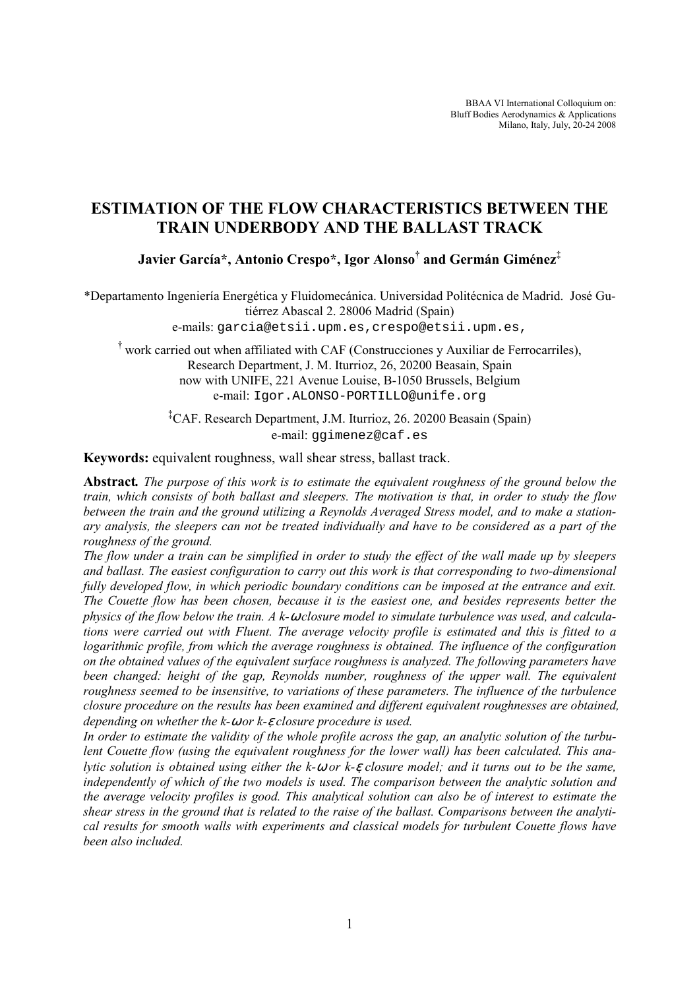BBAA VI International Colloquium on: Bluff Bodies Aerodynamics & Applications Milano, Italy, July, 20-24 2008

# ESTIMATION OF THE FLOW CHARACTERISTICS BETWEEN THE TRAIN UNDERBODY AND THE BALLAST TRACK

Javier García\*, Antonio Crespo\*, Igor Alonso† and Germán Giménez $^\ddag$ 

\*Departamento Ingeniería Energética y Fluidomecánica. Universidad Politécnica de Madrid. José Gutiérrez Abascal 2. 28006 Madrid (Spain)

e-mails: garcia@etsii.upm.es,crespo@etsii.upm.es,

† work carried out when affiliated with CAF (Construcciones y Auxiliar de Ferrocarriles), Research Department, J. M. Iturrioz, 26, 20200 Beasain, Spain now with UNIFE, 221 Avenue Louise, B-1050 Brussels, Belgium e-mail: Igor.ALONSO-PORTILLO@unife.org

> ‡CAF. Research Department, J.M. Iturrioz, 26. 20200 Beasain (Spain) e-mail: ggimenez@caf.es

Keywords: equivalent roughness, wall shear stress, ballast track.

Abstract. The purpose of this work is to estimate the equivalent roughness of the ground below the train, which consists of both ballast and sleepers. The motivation is that, in order to study the flow between the train and the ground utilizing a Reynolds Averaged Stress model, and to make a stationary analysis, the sleepers can not be treated individually and have to be considered as a part of the roughness of the ground.

The flow under a train can be simplified in order to study the effect of the wall made up by sleepers and ballast. The easiest configuration to carry out this work is that corresponding to two-dimensional fully developed flow, in which periodic boundary conditions can be imposed at the entrance and exit. The Couette flow has been chosen, because it is the easiest one, and besides represents better the physics of the flow below the train. A k-ω closure model to simulate turbulence was used, and calculations were carried out with Fluent. The average velocity profile is estimated and this is fitted to a logarithmic profile, from which the average roughness is obtained. The influence of the configuration on the obtained values of the equivalent surface roughness is analyzed. The following parameters have been changed: height of the gap, Reynolds number, roughness of the upper wall. The equivalent roughness seemed to be insensitive, to variations of these parameters. The influence of the turbulence closure procedure on the results has been examined and different equivalent roughnesses are obtained, depending on whether the  $k$ - $\omega$  or  $k$ - $\varepsilon$  closure procedure is used.

In order to estimate the validity of the whole profile across the gap, an analytic solution of the turbulent Couette flow (using the equivalent roughness for the lower wall) has been calculated. This analytic solution is obtained using either the  $k-\omega$  or  $k-\varepsilon$  closure model; and it turns out to be the same, independently of which of the two models is used. The comparison between the analytic solution and the average velocity profiles is good. This analytical solution can also be of interest to estimate the shear stress in the ground that is related to the raise of the ballast. Comparisons between the analytical results for smooth walls with experiments and classical models for turbulent Couette flows have been also included.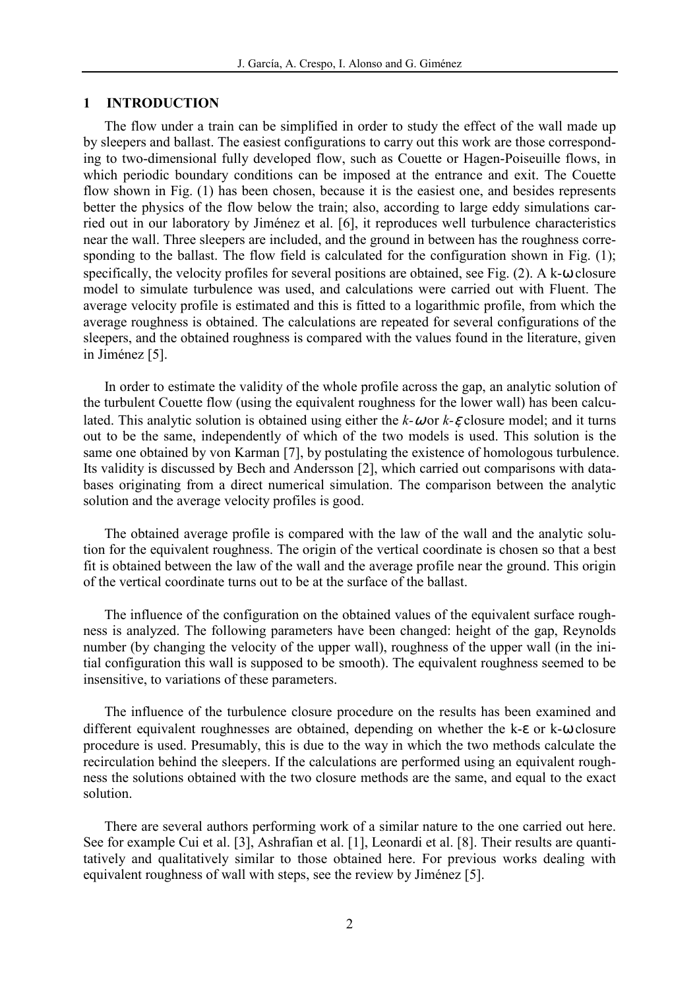#### 1 INTRODUCTION

The flow under a train can be simplified in order to study the effect of the wall made up by sleepers and ballast. The easiest configurations to carry out this work are those corresponding to two-dimensional fully developed flow, such as Couette or Hagen-Poiseuille flows, in which periodic boundary conditions can be imposed at the entrance and exit. The Couette flow shown in Fig. (1) has been chosen, because it is the easiest one, and besides represents better the physics of the flow below the train; also, according to large eddy simulations carried out in our laboratory by Jiménez et al. [6], it reproduces well turbulence characteristics near the wall. Three sleepers are included, and the ground in between has the roughness corresponding to the ballast. The flow field is calculated for the configuration shown in Fig. (1); specifically, the velocity profiles for several positions are obtained, see Fig. (2). A k-ω closure model to simulate turbulence was used, and calculations were carried out with Fluent. The average velocity profile is estimated and this is fitted to a logarithmic profile, from which the average roughness is obtained. The calculations are repeated for several configurations of the sleepers, and the obtained roughness is compared with the values found in the literature, given in Jiménez [5].

In order to estimate the validity of the whole profile across the gap, an analytic solution of the turbulent Couette flow (using the equivalent roughness for the lower wall) has been calculated. This analytic solution is obtained using either the  $k-\omega$  or  $k-\varepsilon$  closure model; and it turns out to be the same, independently of which of the two models is used. This solution is the same one obtained by von Karman [7], by postulating the existence of homologous turbulence. Its validity is discussed by Bech and Andersson [2], which carried out comparisons with databases originating from a direct numerical simulation. The comparison between the analytic solution and the average velocity profiles is good.

The obtained average profile is compared with the law of the wall and the analytic solution for the equivalent roughness. The origin of the vertical coordinate is chosen so that a best fit is obtained between the law of the wall and the average profile near the ground. This origin of the vertical coordinate turns out to be at the surface of the ballast.

The influence of the configuration on the obtained values of the equivalent surface roughness is analyzed. The following parameters have been changed: height of the gap, Reynolds number (by changing the velocity of the upper wall), roughness of the upper wall (in the initial configuration this wall is supposed to be smooth). The equivalent roughness seemed to be insensitive, to variations of these parameters.

The influence of the turbulence closure procedure on the results has been examined and different equivalent roughnesses are obtained, depending on whether the k-ε or k-ω closure procedure is used. Presumably, this is due to the way in which the two methods calculate the recirculation behind the sleepers. If the calculations are performed using an equivalent roughness the solutions obtained with the two closure methods are the same, and equal to the exact solution.

There are several authors performing work of a similar nature to the one carried out here. See for example Cui et al. [3], Ashrafian et al. [1], Leonardi et al. [8]. Their results are quantitatively and qualitatively similar to those obtained here. For previous works dealing with equivalent roughness of wall with steps, see the review by Jiménez [5].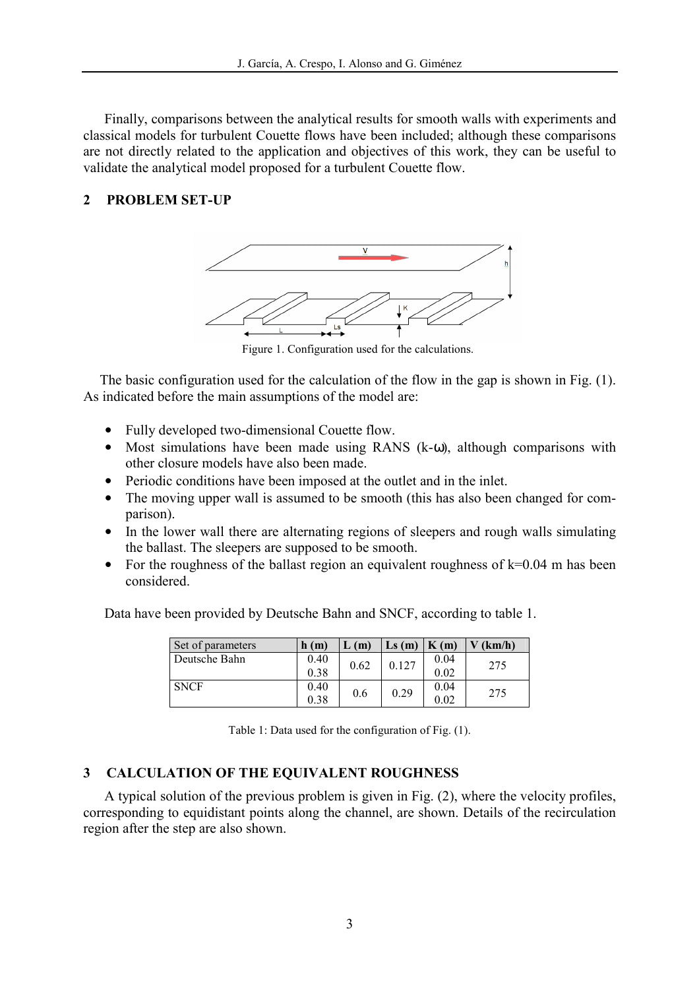Finally, comparisons between the analytical results for smooth walls with experiments and classical models for turbulent Couette flows have been included; although these comparisons are not directly related to the application and objectives of this work, they can be useful to validate the analytical model proposed for a turbulent Couette flow.

### 2 PROBLEM SET-UP



Figure 1. Configuration used for the calculations.

The basic configuration used for the calculation of the flow in the gap is shown in Fig. (1). As indicated before the main assumptions of the model are:

- Fully developed two-dimensional Couette flow.
- Most simulations have been made using RANS  $(k-\omega)$ , although comparisons with other closure models have also been made.
- Periodic conditions have been imposed at the outlet and in the inlet.
- The moving upper wall is assumed to be smooth (this has also been changed for comparison).
- In the lower wall there are alternating regions of sleepers and rough walls simulating the ballast. The sleepers are supposed to be smooth.
- For the roughness of the ballast region an equivalent roughness of  $k=0.04$  m has been considered.

Data have been provided by Deutsche Bahn and SNCF, according to table 1.

| Set of parameters | h(m) | L(m) | $\mathbf{L}\mathbf{s}$ (m) | $\mathbf{K}(\mathbf{m})$ | $V$ (km/h) |
|-------------------|------|------|----------------------------|--------------------------|------------|
| Deutsche Bahn     | 0.40 | 0.62 | 0.127                      | 0.04                     | 275        |
|                   | 0.38 |      |                            | 0.02                     |            |
| <b>SNCF</b>       | 0.40 | 0.6  | 0.29                       | 0.04                     | 275        |
|                   | 0.38 |      |                            | 0.02                     |            |

Table 1: Data used for the configuration of Fig. (1).

## 3 CALCULATION OF THE EQUIVALENT ROUGHNESS

A typical solution of the previous problem is given in Fig. (2), where the velocity profiles, corresponding to equidistant points along the channel, are shown. Details of the recirculation region after the step are also shown.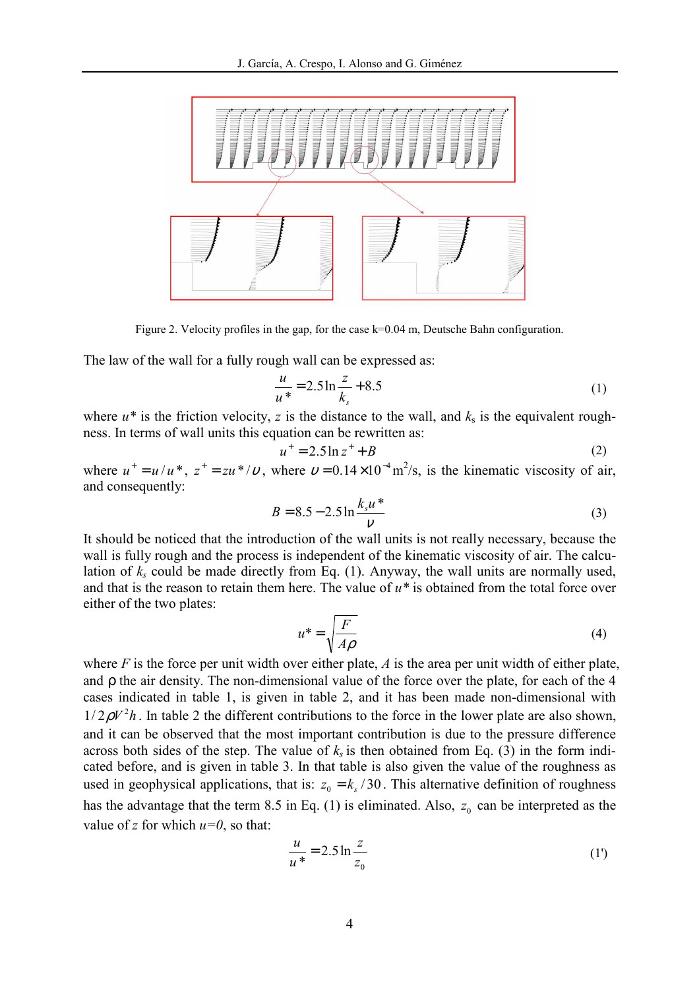

Figure 2. Velocity profiles in the gap, for the case k=0.04 m, Deutsche Bahn configuration.

The law of the wall for a fully rough wall can be expressed as:

$$
\frac{u}{u^*} = 2.5 \ln \frac{z}{k_s} + 8.5\tag{1}
$$

where  $u^*$  is the friction velocity, z is the distance to the wall, and  $k_s$  is the equivalent roughness. In terms of wall units this equation can be rewritten as:

$$
u^+ = 2.5 \ln z^+ + B \tag{2}
$$

where  $u^+ = u/u^*$ ,  $z^+ = zu^* / v$ , where  $v = 0.14 \times 10^{-4} \text{ m}^2/\text{s}$ , is the kinematic viscosity of air, and consequently:

$$
B = 8.5 - 2.5 \ln \frac{k_s u^*}{v}
$$
 (3)

It should be noticed that the introduction of the wall units is not really necessary, because the wall is fully rough and the process is independent of the kinematic viscosity of air. The calculation of  $k_s$  could be made directly from Eq. (1). Anyway, the wall units are normally used, and that is the reason to retain them here. The value of  $u^*$  is obtained from the total force over either of the two plates:

$$
u^* = \sqrt{\frac{F}{A\rho}}
$$
 (4)

where  $F$  is the force per unit width over either plate,  $A$  is the area per unit width of either plate, and ρ the air density. The non-dimensional value of the force over the plate, for each of the 4 cases indicated in table 1, is given in table 2, and it has been made non-dimensional with  $1/2\rho V^2 h$ . In table 2 the different contributions to the force in the lower plate are also shown, and it can be observed that the most important contribution is due to the pressure difference across both sides of the step. The value of  $k_s$  is then obtained from Eq. (3) in the form indicated before, and is given in table 3. In that table is also given the value of the roughness as used in geophysical applications, that is:  $z_0 = k_s / 30$ . This alternative definition of roughness has the advantage that the term 8.5 in Eq. (1) is eliminated. Also,  $z_0$  can be interpreted as the value of z for which  $u=0$ , so that:

$$
\frac{u}{u^*} = 2.5 \ln \frac{z}{z_0}
$$
 (1')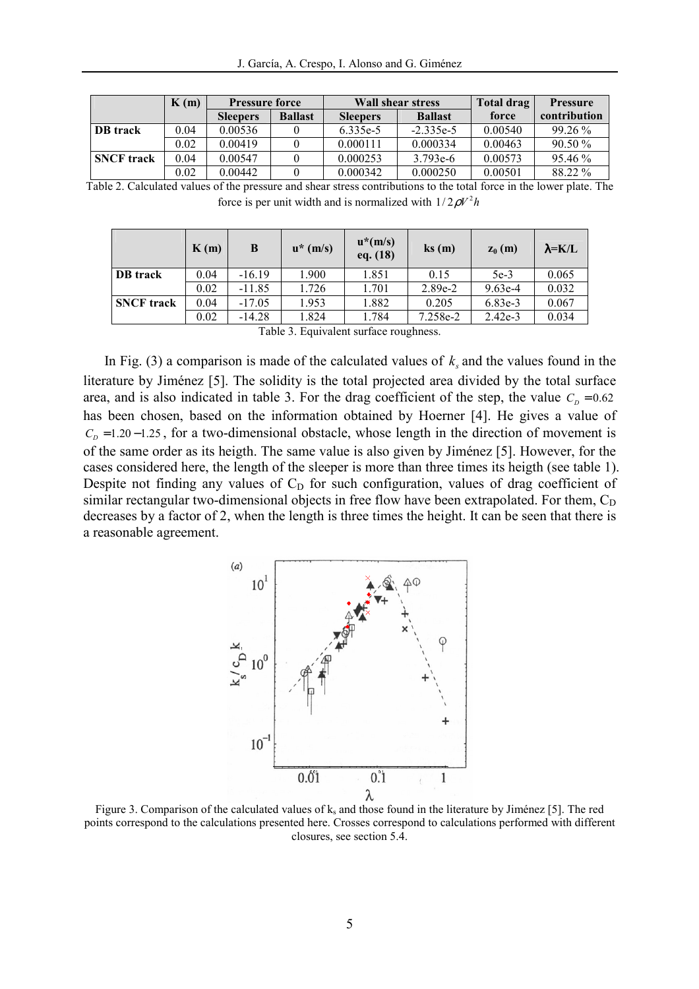|                   | K(m) | <b>Pressure force</b> |                |                 | <b>Wall shear stress</b> | Total drag | <b>Pressure</b> |
|-------------------|------|-----------------------|----------------|-----------------|--------------------------|------------|-----------------|
|                   |      | <b>Sleepers</b>       | <b>Ballast</b> | <b>Sleepers</b> | <b>Ballast</b>           | force      | contribution    |
| <b>DB</b> track   | 0.04 | 0.00536               |                | 6.335e-5        | $-2.335e-5$              | 0.00540    | $99.26\%$       |
|                   | 0.02 | 0.00419               |                | 0.000111        | 0.000334                 | 0.00463    | 90.50 %         |
| <b>SNCF</b> track | 0.04 | 0.00547               |                | 0.000253        | $3.793e-6$               | 0.00573    | $95.46\%$       |
|                   | 0.02 | 0.00442               |                | 0.000342        | 0.000250                 | 0.00501    | 88.22 %         |

Table 2. Calculated values of the pressure and shear stress contributions to the total force in the lower plate. The force is per unit width and is normalized with  $1/2\rho V^2 h$ 

|                                         | K(m) | B        | $u^*(m/s)$ | $u^*(m/s)$<br>eq. (18) | $\mathbf{ks}(\mathbf{m})$ | $z_0(m)$  | $\lambda = K/L$ |
|-----------------------------------------|------|----------|------------|------------------------|---------------------------|-----------|-----------------|
| <b>DB</b> track                         | 0.04 | $-16.19$ | 1.900      | 1.851                  | 0.15                      | $5e-3$    | 0.065           |
|                                         | 0.02 | $-11.85$ | 1.726      | 1.701                  | $2.89e-2$                 | $9.63e-4$ | 0.032           |
| <b>SNCF</b> track                       | 0.04 | $-17.05$ | 1.953      | 1.882                  | 0.205                     | $6.83e-3$ | 0.067           |
|                                         | 0.02 | $-14.28$ | 1.824      | 1.784                  | 7.258e-2                  | $2.42e-3$ | 0.034           |
| Table 2. Equivalent quebece revelations |      |          |            |                        |                           |           |                 |

Table 3. Equivalent surface roughness.

In Fig. (3) a comparison is made of the calculated values of  $k_s$  and the values found in the literature by Jiménez [5]. The solidity is the total projected area divided by the total surface area, and is also indicated in table 3. For the drag coefficient of the step, the value  $C<sub>D</sub> = 0.62$ has been chosen, based on the information obtained by Hoerner [4]. He gives a value of  $C<sub>p</sub> = 1.20 - 1.25$ , for a two-dimensional obstacle, whose length in the direction of movement is of the same order as its heigth. The same value is also given by Jiménez [5]. However, for the cases considered here, the length of the sleeper is more than three times its heigth (see table 1). Despite not finding any values of  $C_D$  for such configuration, values of drag coefficient of similar rectangular two-dimensional objects in free flow have been extrapolated. For them,  $C_D$ decreases by a factor of 2, when the length is three times the height. It can be seen that there is a reasonable agreement.



Figure 3. Comparison of the calculated values of  $k_s$  and those found in the literature by Jiménez [5]. The red points correspond to the calculations presented here. Crosses correspond to calculations performed with different closures, see section 5.4.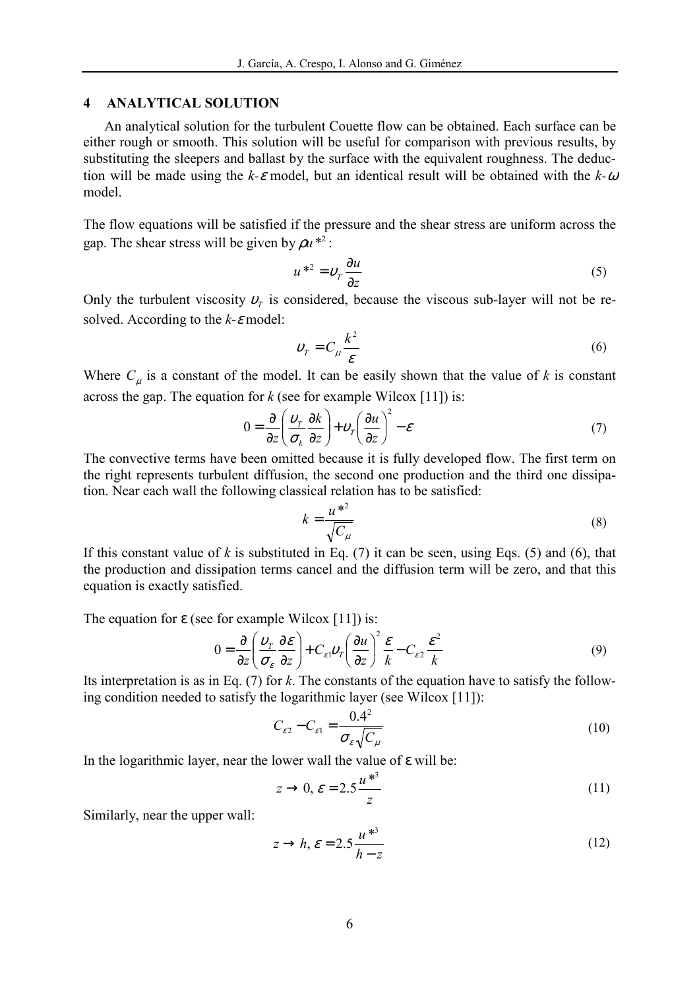#### 4 ANALYTICAL SOLUTION

An analytical solution for the turbulent Couette flow can be obtained. Each surface can be either rough or smooth. This solution will be useful for comparison with previous results, by substituting the sleepers and ballast by the surface with the equivalent roughness. The deduction will be made using the k- $\varepsilon$  model, but an identical result will be obtained with the k- $\omega$ model.

The flow equations will be satisfied if the pressure and the shear stress are uniform across the gap. The shear stress will be given by  $\rho u^{*2}$ :

$$
u^{\ast 2} = v_r \frac{\partial u}{\partial z} \tag{5}
$$

Only the turbulent viscosity  $v<sub>T</sub>$  is considered, because the viscous sub-layer will not be resolved. According to the  $k$ - $\varepsilon$  model:

$$
v_r = C_\mu \frac{k^2}{\varepsilon} \tag{6}
$$

Where  $C_{\mu}$  is a constant of the model. It can be easily shown that the value of k is constant across the gap. The equation for  $k$  (see for example Wilcox [11]) is:

$$
0 = \frac{\partial}{\partial z} \left( \frac{\nu_r}{\sigma_k} \frac{\partial k}{\partial z} \right) + \nu_r \left( \frac{\partial u}{\partial z} \right)^2 - \varepsilon \tag{7}
$$

The convective terms have been omitted because it is fully developed flow. The first term on the right represents turbulent diffusion, the second one production and the third one dissipation. Near each wall the following classical relation has to be satisfied:

$$
k = \frac{u^{*2}}{\sqrt{C_{\mu}}} \tag{8}
$$

If this constant value of k is substituted in Eq. (7) it can be seen, using Eqs. (5) and (6), that the production and dissipation terms cancel and the diffusion term will be zero, and that this equation is exactly satisfied.

The equation for  $\varepsilon$  (see for example Wilcox [11]) is:

$$
0 = \frac{\partial}{\partial z} \left( \frac{\nu_r}{\sigma_{\varepsilon}} \frac{\partial \varepsilon}{\partial z} \right) + C_{\varepsilon 1} \nu_r \left( \frac{\partial u}{\partial z} \right)^2 \frac{\varepsilon}{k} - C_{\varepsilon 2} \frac{\varepsilon^2}{k}
$$
(9)

Its interpretation is as in Eq. (7) for k. The constants of the equation have to satisfy the following condition needed to satisfy the logarithmic layer (see Wilcox [11]):

$$
C_{\varepsilon 2} - C_{\varepsilon 1} = \frac{0.4^2}{\sigma_{\varepsilon} \sqrt{C_{\mu}}}
$$
\n(10)

In the logarithmic layer, near the lower wall the value of  $\varepsilon$  will be:

$$
z \to 0, \, \varepsilon = 2.5 \frac{u^{*3}}{z} \tag{11}
$$

Similarly, near the upper wall:

$$
z \to h, \, \varepsilon = 2.5 \frac{u^{*3}}{h - z} \tag{12}
$$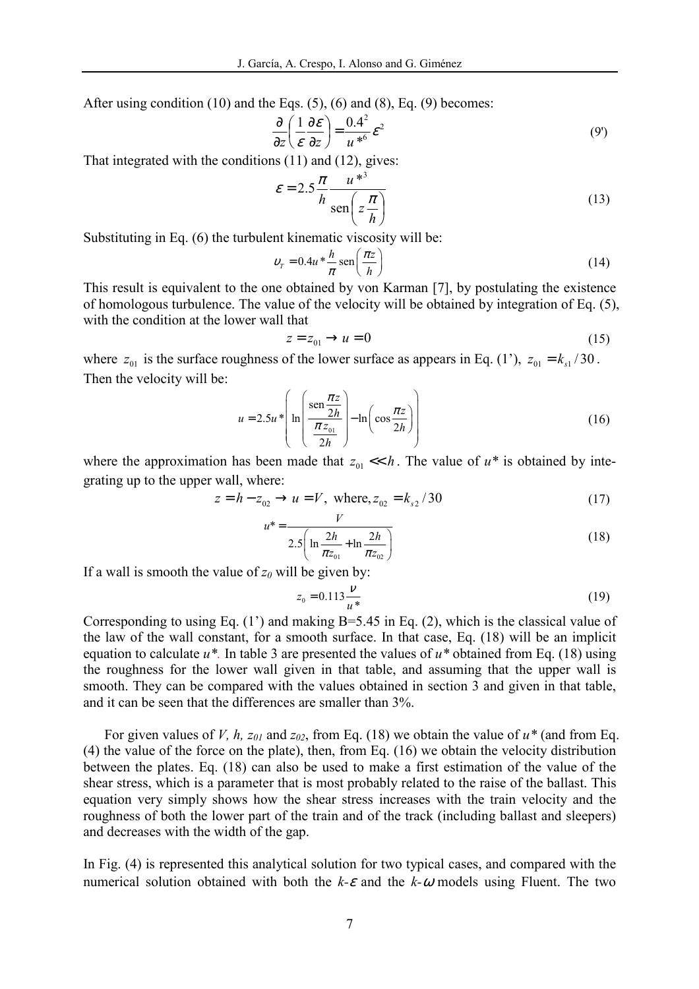After using condition (10) and the Eqs. (5), (6) and (8), Eq. (9) becomes:

$$
\frac{\partial}{\partial z} \left( \frac{1}{\varepsilon} \frac{\partial \varepsilon}{\partial z} \right) = \frac{0.4^2}{u^{*6}} \varepsilon^2 \tag{9'}
$$

That integrated with the conditions (11) and (12), gives:

$$
\varepsilon = 2.5 \frac{\pi}{h} \frac{u^{*3}}{\text{sen}\left(z \frac{\pi}{h}\right)}\tag{13}
$$

Substituting in Eq. (6) the turbulent kinematic viscosity will be:

$$
v_r = 0.4u * \frac{h}{\pi} \operatorname{sen}\left(\frac{\pi z}{h}\right) \tag{14}
$$

This result is equivalent to the one obtained by von Karman [7], by postulating the existence of homologous turbulence. The value of the velocity will be obtained by integration of Eq. (5), with the condition at the lower wall that

$$
z = z_{01} \rightarrow u = 0 \tag{15}
$$

where  $z_{01}$  is the surface roughness of the lower surface as appears in Eq. (1'),  $z_{01} = k_{s1}/30$ . Then the velocity will be:

$$
u = 2.5u^* \left( \ln \left( \frac{\operatorname{sen} \frac{\pi z}{2h}}{\frac{\pi z_{01}}{2h}} \right) - \ln \left( \cos \frac{\pi z}{2h} \right) \right) \tag{16}
$$

where the approximation has been made that  $z_{01} \ll h$ . The value of  $u^*$  is obtained by integrating up to the upper wall, where:

$$
z = h - z_{02} \rightarrow u = V, \text{ where, } z_{02} = k_{s2} / 30
$$
 (17)

$$
u^* = \frac{v}{2.5\left(\ln\frac{2h}{\pi z_{01}} + \ln\frac{2h}{\pi z_{02}}\right)}
$$
(18)

If a wall is smooth the value of  $z_0$  will be given by:

$$
z_0 = 0.113 \frac{\nu}{u^*}
$$
 (19)

Corresponding to using Eq.  $(1')$  and making B=5.45 in Eq.  $(2)$ , which is the classical value of the law of the wall constant, for a smooth surface. In that case, Eq. (18) will be an implicit equation to calculate  $u^*$ . In table 3 are presented the values of  $u^*$  obtained from Eq. (18) using the roughness for the lower wall given in that table, and assuming that the upper wall is smooth. They can be compared with the values obtained in section 3 and given in that table, and it can be seen that the differences are smaller than 3%.

For given values of V, h,  $z_{01}$  and  $z_{02}$ , from Eq. (18) we obtain the value of  $u^*$  (and from Eq. (4) the value of the force on the plate), then, from Eq. (16) we obtain the velocity distribution between the plates. Eq. (18) can also be used to make a first estimation of the value of the shear stress, which is a parameter that is most probably related to the raise of the ballast. This equation very simply shows how the shear stress increases with the train velocity and the roughness of both the lower part of the train and of the track (including ballast and sleepers) and decreases with the width of the gap.

In Fig. (4) is represented this analytical solution for two typical cases, and compared with the numerical solution obtained with both the  $k-\epsilon$  and the  $k-\omega$  models using Fluent. The two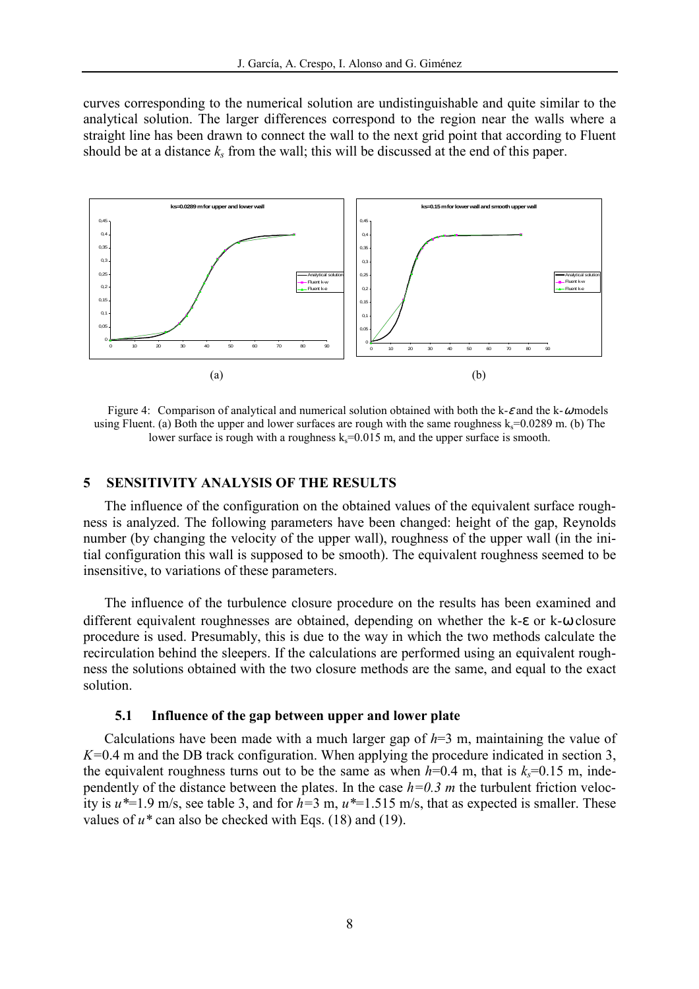curves corresponding to the numerical solution are undistinguishable and quite similar to the analytical solution. The larger differences correspond to the region near the walls where a straight line has been drawn to connect the wall to the next grid point that according to Fluent should be at a distance  $k_s$  from the wall; this will be discussed at the end of this paper.



Figure 4: Comparison of analytical and numerical solution obtained with both the k- $\varepsilon$  and the k- $\omega$  models using Fluent. (a) Both the upper and lower surfaces are rough with the same roughness  $k_s = 0.0289$  m. (b) The lower surface is rough with a roughness  $k_s$ =0.015 m, and the upper surface is smooth.

### 5 SENSITIVITY ANALYSIS OF THE RESULTS

The influence of the configuration on the obtained values of the equivalent surface roughness is analyzed. The following parameters have been changed: height of the gap, Reynolds number (by changing the velocity of the upper wall), roughness of the upper wall (in the initial configuration this wall is supposed to be smooth). The equivalent roughness seemed to be insensitive, to variations of these parameters.

The influence of the turbulence closure procedure on the results has been examined and different equivalent roughnesses are obtained, depending on whether the k-ε or k-ω closure procedure is used. Presumably, this is due to the way in which the two methods calculate the recirculation behind the sleepers. If the calculations are performed using an equivalent roughness the solutions obtained with the two closure methods are the same, and equal to the exact solution.

#### 5.1 Influence of the gap between upper and lower plate

Calculations have been made with a much larger gap of  $h=3$  m, maintaining the value of  $K=0.4$  m and the DB track configuration. When applying the procedure indicated in section 3, the equivalent roughness turns out to be the same as when  $h=0.4$  m, that is  $k<sub>s</sub>=0.15$  m, independently of the distance between the plates. In the case  $h=0.3$  m the turbulent friction velocity is  $u^*=1.9$  m/s, see table 3, and for  $h=3$  m,  $u^*=1.515$  m/s, that as expected is smaller. These values of  $u^*$  can also be checked with Eqs. (18) and (19).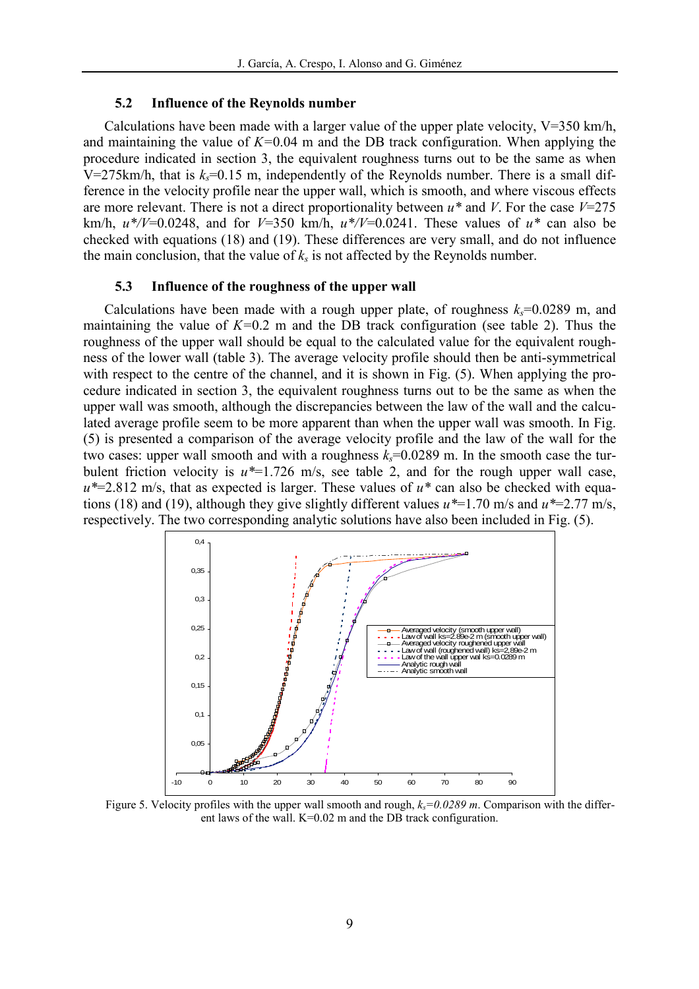#### 5.2 Influence of the Reynolds number

Calculations have been made with a larger value of the upper plate velocity,  $V=350$  km/h, and maintaining the value of  $K=0.04$  m and the DB track configuration. When applying the procedure indicated in section 3, the equivalent roughness turns out to be the same as when V=275km/h, that is  $k=0.15$  m, independently of the Reynolds number. There is a small difference in the velocity profile near the upper wall, which is smooth, and where viscous effects are more relevant. There is not a direct proportionality between  $u^*$  and V. For the case  $V=275$ km/h,  $u*/V=0.0248$ , and for  $V=350$  km/h,  $u*/V=0.0241$ . These values of  $u*$  can also be checked with equations (18) and (19). These differences are very small, and do not influence the main conclusion, that the value of  $k<sub>s</sub>$  is not affected by the Reynolds number.

#### 5.3 Influence of the roughness of the upper wall

Calculations have been made with a rough upper plate, of roughness  $k_s=0.0289$  m, and maintaining the value of  $K=0.2$  m and the DB track configuration (see table 2). Thus the roughness of the upper wall should be equal to the calculated value for the equivalent roughness of the lower wall (table 3). The average velocity profile should then be anti-symmetrical with respect to the centre of the channel, and it is shown in Fig.  $(5)$ . When applying the procedure indicated in section 3, the equivalent roughness turns out to be the same as when the upper wall was smooth, although the discrepancies between the law of the wall and the calculated average profile seem to be more apparent than when the upper wall was smooth. In Fig. (5) is presented a comparison of the average velocity profile and the law of the wall for the two cases: upper wall smooth and with a roughness  $k_s=0.0289$  m. In the smooth case the turbulent friction velocity is  $u^*=1.726$  m/s, see table 2, and for the rough upper wall case,  $u^*=2.812$  m/s, that as expected is larger. These values of  $u^*$  can also be checked with equations (18) and (19), although they give slightly different values  $u^*=1.70$  m/s and  $u^*=2.77$  m/s, respectively. The two corresponding analytic solutions have also been included in Fig. (5).



Figure 5. Velocity profiles with the upper wall smooth and rough,  $k<sub>s</sub>=0.0289$  m. Comparison with the different laws of the wall. K=0.02 m and the DB track configuration.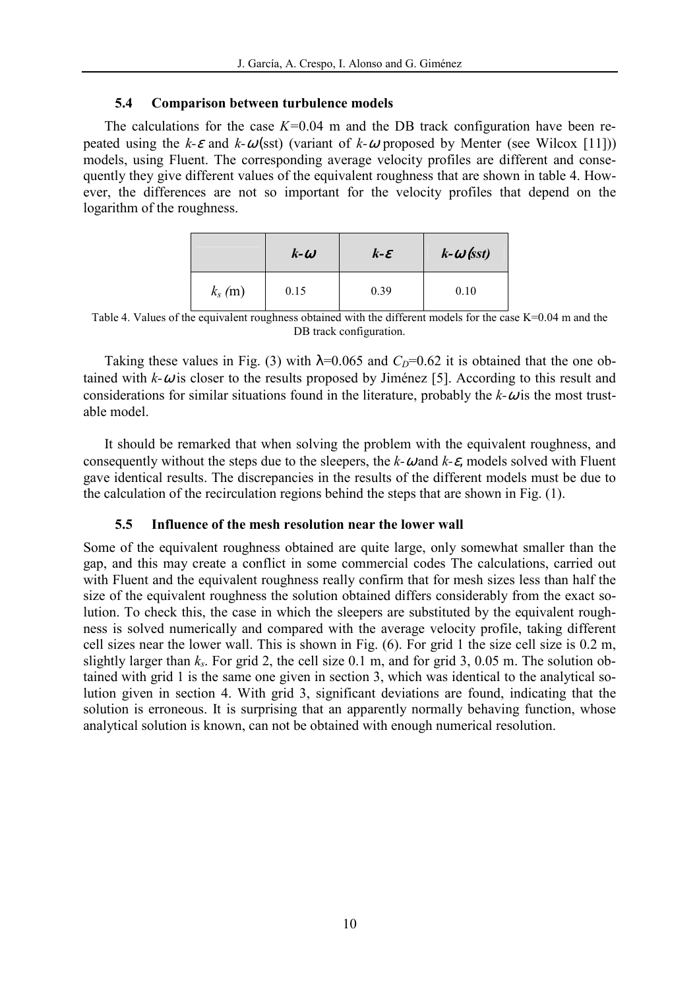### 5.4 Comparison between turbulence models

The calculations for the case  $K=0.04$  m and the DB track configuration have been repeated using the k- $\varepsilon$  and k- $\omega$ (sst) (variant of k- $\omega$  proposed by Menter (see Wilcox [11])) models, using Fluent. The corresponding average velocity profiles are different and consequently they give different values of the equivalent roughness that are shown in table 4. However, the differences are not so important for the velocity profiles that depend on the logarithm of the roughness.

|           | $k-\omega$ | $k$ - $\varepsilon$ | $k-\omega$ (sst) |
|-----------|------------|---------------------|------------------|
| $k_s$ (m) | 0.15       | 0.39                | 0.10             |

Table 4. Values of the equivalent roughness obtained with the different models for the case K=0.04 m and the DB track configuration.

Taking these values in Fig. (3) with  $\lambda$ =0.065 and  $C_D$ =0.62 it is obtained that the one obtained with  $k-\omega$  is closer to the results proposed by Jiménez [5]. According to this result and considerations for similar situations found in the literature, probably the  $k-\omega$  is the most trustable model.

It should be remarked that when solving the problem with the equivalent roughness, and consequently without the steps due to the sleepers, the  $k-\omega$  and  $k-\varepsilon$ , models solved with Fluent gave identical results. The discrepancies in the results of the different models must be due to the calculation of the recirculation regions behind the steps that are shown in Fig. (1).

## 5.5 Influence of the mesh resolution near the lower wall

Some of the equivalent roughness obtained are quite large, only somewhat smaller than the gap, and this may create a conflict in some commercial codes The calculations, carried out with Fluent and the equivalent roughness really confirm that for mesh sizes less than half the size of the equivalent roughness the solution obtained differs considerably from the exact solution. To check this, the case in which the sleepers are substituted by the equivalent roughness is solved numerically and compared with the average velocity profile, taking different cell sizes near the lower wall. This is shown in Fig. (6). For grid 1 the size cell size is 0.2 m, slightly larger than  $k_s$ . For grid 2, the cell size 0.1 m, and for grid 3, 0.05 m. The solution obtained with grid 1 is the same one given in section 3, which was identical to the analytical solution given in section 4. With grid 3, significant deviations are found, indicating that the solution is erroneous. It is surprising that an apparently normally behaving function, whose analytical solution is known, can not be obtained with enough numerical resolution.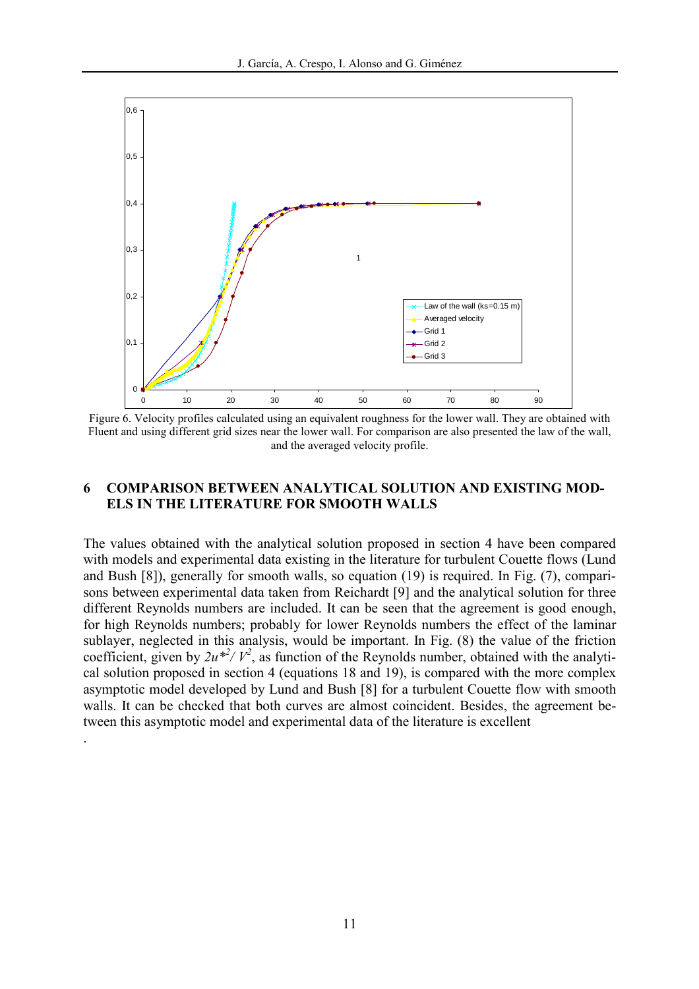

Figure 6. Velocity profiles calculated using an equivalent roughness for the lower wall. They are obtained with Fluent and using different grid sizes near the lower wall. For comparison are also presented the law of the wall, and the averaged velocity profile.

### 6 COMPARISON BETWEEN ANALYTICAL SOLUTION AND EXISTING MOD-ELS IN THE LITERATURE FOR SMOOTH WALLS

The values obtained with the analytical solution proposed in section 4 have been compared with models and experimental data existing in the literature for turbulent Couette flows (Lund and Bush [8]), generally for smooth walls, so equation (19) is required. In Fig. (7), comparisons between experimental data taken from Reichardt [9] and the analytical solution for three different Reynolds numbers are included. It can be seen that the agreement is good enough, for high Reynolds numbers; probably for lower Reynolds numbers the effect of the laminar sublayer, neglected in this analysis, would be important. In Fig. (8) the value of the friction coefficient, given by  $2u^{*2}/V^2$ , as function of the Reynolds number, obtained with the analytical solution proposed in section 4 (equations 18 and 19), is compared with the more complex asymptotic model developed by Lund and Bush [8] for a turbulent Couette flow with smooth walls. It can be checked that both curves are almost coincident. Besides, the agreement between this asymptotic model and experimental data of the literature is excellent

.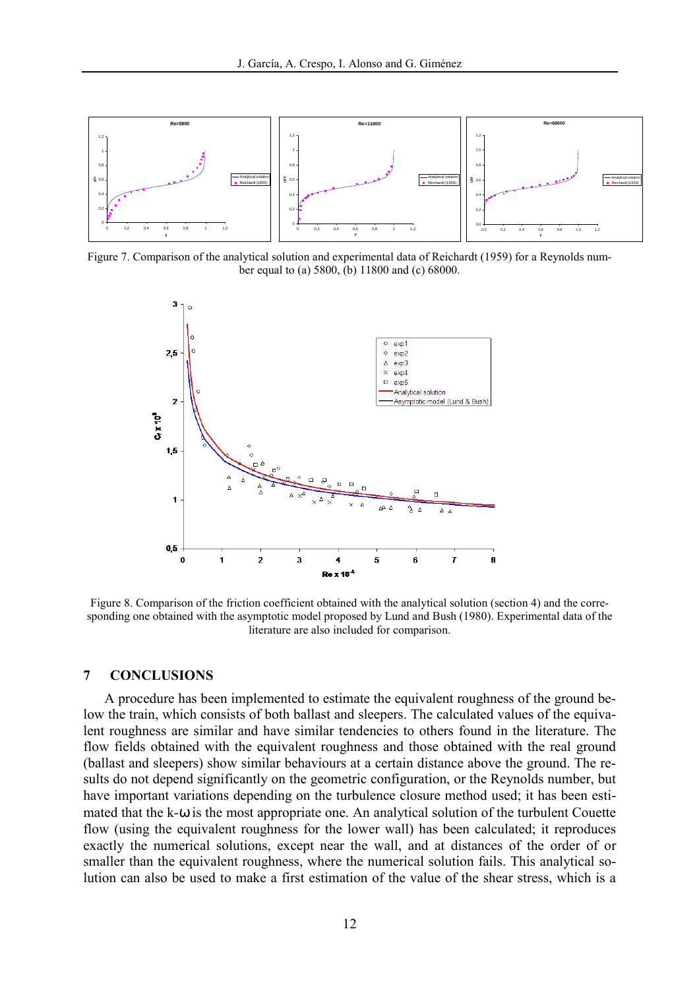

Figure 7. Comparison of the analytical solution and experimental data of Reichardt (1959) for a Reynolds number equal to (a) 5800, (b) 11800 and (c) 68000.



Figure 8. Comparison of the friction coefficient obtained with the analytical solution (section 4) and the corresponding one obtained with the asymptotic model proposed by Lund and Bush (1980). Experimental data of the literature are also included for comparison.

#### 7 CONCLUSIONS

A procedure has been implemented to estimate the equivalent roughness of the ground below the train, which consists of both ballast and sleepers. The calculated values of the equivalent roughness are similar and have similar tendencies to others found in the literature. The flow fields obtained with the equivalent roughness and those obtained with the real ground (ballast and sleepers) show similar behaviours at a certain distance above the ground. The results do not depend significantly on the geometric configuration, or the Reynolds number, but have important variations depending on the turbulence closure method used; it has been estimated that the k-ω is the most appropriate one. An analytical solution of the turbulent Couette flow (using the equivalent roughness for the lower wall) has been calculated; it reproduces exactly the numerical solutions, except near the wall, and at distances of the order of or smaller than the equivalent roughness, where the numerical solution fails. This analytical solution can also be used to make a first estimation of the value of the shear stress, which is a